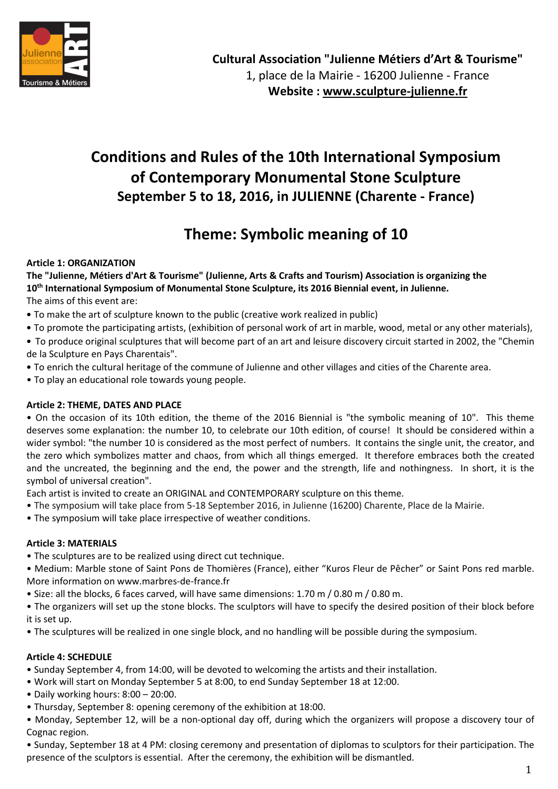

# **Conditions and Rules of the 10th International Symposium of Contemporary Monumental Stone Sculpture September 5 to 18, 2016, in JULIENNE (Charente - France)**

# **Theme: Symbolic meaning of 10**

## **Article 1: ORGANIZATION**

**The "Julienne, Métiers d'Art & Tourisme" (Julienne, Arts & Crafts and Tourism) Association is organizing the 10th International Symposium of Monumental Stone Sculpture, its 2016 Biennial event, in Julienne.** 

The aims of this event are:

- To make the art of sculpture known to the public (creative work realized in public)
- To promote the participating artists, (exhibition of personal work of art in marble, wood, metal or any other materials),
- To produce original sculptures that will become part of an art and leisure discovery circuit started in 2002, the "Chemin de la Sculpture en Pays Charentais".
- To enrich the cultural heritage of the commune of Julienne and other villages and cities of the Charente area.
- To play an educational role towards young people.

## **Article 2: THEME, DATES AND PLACE**

• On the occasion of its 10th edition, the theme of the 2016 Biennial is "the symbolic meaning of 10". This theme deserves some explanation: the number 10, to celebrate our 10th edition, of course! It should be considered within a wider symbol: "the number 10 is considered as the most perfect of numbers. It contains the single unit, the creator, and the zero which symbolizes matter and chaos, from which all things emerged. It therefore embraces both the created and the uncreated, the beginning and the end, the power and the strength, life and nothingness. In short, it is the symbol of universal creation".

Each artist is invited to create an ORIGINAL and CONTEMPORARY sculpture on this theme.

- The symposium will take place from 5-18 September 2016, in Julienne (16200) Charente, Place de la Mairie.
- The symposium will take place irrespective of weather conditions.

## **Article 3: MATERIALS**

- The sculptures are to be realized using direct cut technique.
- Medium: Marble stone of Saint Pons de Thomières (France), either "Kuros Fleur de Pêcher" or Saint Pons red marble. More information on www.marbres-de-france.fr
- Size: all the blocks, 6 faces carved, will have same dimensions: 1.70 m / 0.80 m / 0.80 m.
- The organizers will set up the stone blocks. The sculptors will have to specify the desired position of their block before it is set up.
- The sculptures will be realized in one single block, and no handling will be possible during the symposium.

## **Article 4: SCHEDULE**

- Sunday September 4, from 14:00, will be devoted to welcoming the artists and their installation.
- Work will start on Monday September 5 at 8:00, to end Sunday September 18 at 12:00.
- Daily working hours: 8:00 20:00.
- Thursday, September 8: opening ceremony of the exhibition at 18:00.

• Monday, September 12, will be a non-optional day off, during which the organizers will propose a discovery tour of Cognac region.

• Sunday, September 18 at 4 PM: closing ceremony and presentation of diplomas to sculptors for their participation. The presence of the sculptors is essential. After the ceremony, the exhibition will be dismantled.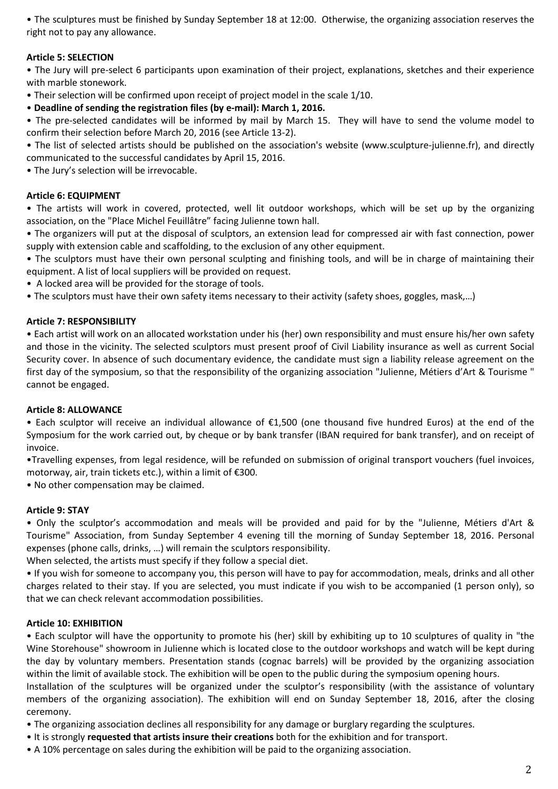• The sculptures must be finished by Sunday September 18 at 12:00. Otherwise, the organizing association reserves the right not to pay any allowance.

## **Article 5: SELECTION**

• The Jury will pre-select 6 participants upon examination of their project, explanations, sketches and their experience with marble stonework.

• Their selection will be confirmed upon receipt of project model in the scale 1/10.

• **Deadline of sending the registration files (by e-mail): March 1, 2016.**

• The pre-selected candidates will be informed by mail by March 15. They will have to send the volume model to confirm their selection before March 20, 2016 (see Article 13-2).

• The list of selected artists should be published on the association's website (www.sculpture-julienne.fr), and directly communicated to the successful candidates by April 15, 2016.

• The Jury's selection will be irrevocable.

### **Article 6: EQUIPMENT**

• The artists will work in covered, protected, well lit outdoor workshops, which will be set up by the organizing association, on the "Place Michel Feuillâtre" facing Julienne town hall.

• The organizers will put at the disposal of sculptors, an extension lead for compressed air with fast connection, power supply with extension cable and scaffolding, to the exclusion of any other equipment.

• The sculptors must have their own personal sculpting and finishing tools, and will be in charge of maintaining their equipment. A list of local suppliers will be provided on request.

• A locked area will be provided for the storage of tools.

• The sculptors must have their own safety items necessary to their activity (safety shoes, goggles, mask,…)

#### **Article 7: RESPONSIBILITY**

• Each artist will work on an allocated workstation under his (her) own responsibility and must ensure his/her own safety and those in the vicinity. The selected sculptors must present proof of Civil Liability insurance as well as current Social Security cover. In absence of such documentary evidence, the candidate must sign a liability release agreement on the first day of the symposium, so that the responsibility of the organizing association "Julienne, Métiers d'Art & Tourisme " cannot be engaged.

#### **Article 8: ALLOWANCE**

• Each sculptor will receive an individual allowance of €1,500 (one thousand five hundred Euros) at the end of the Symposium for the work carried out, by cheque or by bank transfer (IBAN required for bank transfer), and on receipt of invoice.

•Travelling expenses, from legal residence, will be refunded on submission of original transport vouchers (fuel invoices, motorway, air, train tickets etc.), within a limit of €300.

• No other compensation may be claimed.

#### **Article 9: STAY**

• Only the sculptor's accommodation and meals will be provided and paid for by the "Julienne, Métiers d'Art & Tourisme" Association, from Sunday September 4 evening till the morning of Sunday September 18, 2016. Personal expenses (phone calls, drinks, …) will remain the sculptors responsibility.

When selected, the artists must specify if they follow a special diet.

• If you wish for someone to accompany you, this person will have to pay for accommodation, meals, drinks and all other charges related to their stay. If you are selected, you must indicate if you wish to be accompanied (1 person only), so that we can check relevant accommodation possibilities.

#### **Article 10: EXHIBITION**

• Each sculptor will have the opportunity to promote his (her) skill by exhibiting up to 10 sculptures of quality in "the Wine Storehouse" showroom in Julienne which is located close to the outdoor workshops and watch will be kept during the day by voluntary members. Presentation stands (cognac barrels) will be provided by the organizing association within the limit of available stock. The exhibition will be open to the public during the symposium opening hours.

Installation of the sculptures will be organized under the sculptor's responsibility (with the assistance of voluntary members of the organizing association). The exhibition will end on Sunday September 18, 2016, after the closing ceremony.

- The organizing association declines all responsibility for any damage or burglary regarding the sculptures.
- It is strongly **requested that artists insure their creations** both for the exhibition and for transport.
- A 10% percentage on sales during the exhibition will be paid to the organizing association.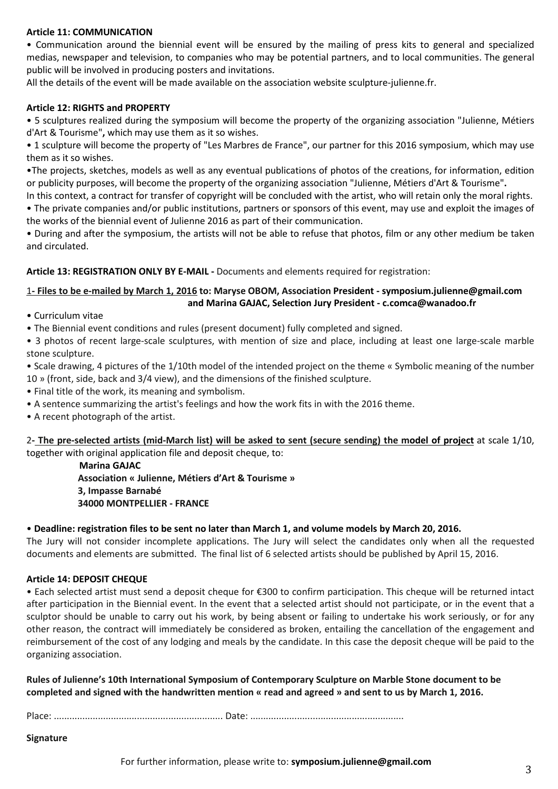#### **Article 11: COMMUNICATION**

• Communication around the biennial event will be ensured by the mailing of press kits to general and specialized medias, newspaper and television, to companies who may be potential partners, and to local communities. The general public will be involved in producing posters and invitations.

All the details of the event will be made available on the association website sculpture-julienne.fr.

#### **Article 12: RIGHTS and PROPERTY**

• 5 sculptures realized during the symposium will become the property of the organizing association "Julienne, Métiers d'Art & Tourisme"**,** which may use them as it so wishes.

• 1 sculpture will become the property of "Les Marbres de France", our partner for this 2016 symposium, which may use them as it so wishes.

•The projects, sketches, models as well as any eventual publications of photos of the creations, for information, edition or publicity purposes, will become the property of the organizing association "Julienne, Métiers d'Art & Tourisme"**.**

In this context, a contract for transfer of copyright will be concluded with the artist, who will retain only the moral rights. • The private companies and/or public institutions, partners or sponsors of this event, may use and exploit the images of the works of the biennial event of Julienne 2016 as part of their communication.

• During and after the symposium, the artists will not be able to refuse that photos, film or any other medium be taken and circulated.

**Article 13: REGISTRATION ONLY BY E-MAIL -** Documents and elements required for registration:

### 1**- Files to be e-mailed by March 1, 2016 to: Maryse OBOM, Association President - symposium.julienne@gmail.com and Marina GAJAC, Selection Jury President - c.comca@wanadoo.fr**

• Curriculum vitae

• The Biennial event conditions and rules (present document) fully completed and signed.

• 3 photos of recent large-scale sculptures, with mention of size and place, including at least one large-scale marble stone sculpture.

• Scale drawing, 4 pictures of the 1/10th model of the intended project on the theme « Symbolic meaning of the number 10 » (front, side, back and 3/4 view), and the dimensions of the finished sculpture.

• Final title of the work, its meaning and symbolism.

- A sentence summarizing the artist's feelings and how the work fits in with the 2016 theme.
- A recent photograph of the artist.

2**- The pre-selected artists (mid-March list) will be asked to sent (secure sending) the model of project** at scale 1/10, together with original application file and deposit cheque, to:

> **Marina GAJAC Association « Julienne, Métiers d'Art & Tourisme » 3, Impasse Barnabé 34000 MONTPELLIER - FRANCE**

## • **Deadline: registration files to be sent no later than March 1, and volume models by March 20, 2016.**

The Jury will not consider incomplete applications. The Jury will select the candidates only when all the requested documents and elements are submitted. The final list of 6 selected artists should be published by April 15, 2016.

#### **Article 14: DEPOSIT CHEQUE**

• Each selected artist must send a deposit cheque for €300 to confirm participation. This cheque will be returned intact after participation in the Biennial event. In the event that a selected artist should not participate, or in the event that a sculptor should be unable to carry out his work, by being absent or failing to undertake his work seriously, or for any other reason, the contract will immediately be considered as broken, entailing the cancellation of the engagement and reimbursement of the cost of any lodging and meals by the candidate. In this case the deposit cheque will be paid to the organizing association.

**Rules of Julienne's 10th International Symposium of Contemporary Sculpture on Marble Stone document to be completed and signed with the handwritten mention « read and agreed » and sent to us by March 1, 2016.**

Place: ................................................................. Date: ...........................................................

**Signature** 

For further information, please write to: **symposium.julienne@gmail.com**